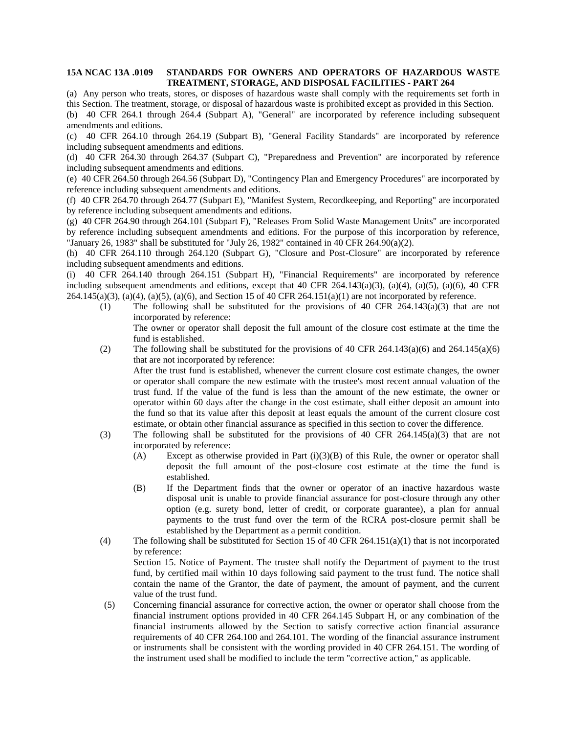## **15A NCAC 13A .0109 STANDARDS FOR OWNERS AND OPERATORS OF HAZARDOUS WASTE TREATMENT, STORAGE, AND DISPOSAL FACILITIES - PART 264**

(a) Any person who treats, stores, or disposes of hazardous waste shall comply with the requirements set forth in

this Section. The treatment, storage, or disposal of hazardous waste is prohibited except as provided in this Section. (b) 40 CFR 264.1 through 264.4 (Subpart A), "General" are incorporated by reference including subsequent amendments and editions.

(c) 40 CFR 264.10 through 264.19 (Subpart B), "General Facility Standards" are incorporated by reference including subsequent amendments and editions.

(d) 40 CFR 264.30 through 264.37 (Subpart C), "Preparedness and Prevention" are incorporated by reference including subsequent amendments and editions.

(e) 40 CFR 264.50 through 264.56 (Subpart D), "Contingency Plan and Emergency Procedures" are incorporated by reference including subsequent amendments and editions.

(f) 40 CFR 264.70 through 264.77 (Subpart E), "Manifest System, Recordkeeping, and Reporting" are incorporated by reference including subsequent amendments and editions.

(g) 40 CFR 264.90 through 264.101 (Subpart F), "Releases From Solid Waste Management Units" are incorporated by reference including subsequent amendments and editions. For the purpose of this incorporation by reference, "January 26, 1983" shall be substituted for "July 26, 1982" contained in 40 CFR 264.90(a)(2).

(h) 40 CFR 264.110 through 264.120 (Subpart G), "Closure and Post-Closure" are incorporated by reference including subsequent amendments and editions.

(i) 40 CFR 264.140 through 264.151 (Subpart H), "Financial Requirements" are incorporated by reference including subsequent amendments and editions, except that 40 CFR 264.143(a)(3), (a)(4), (a)(5), (a)(6), 40 CFR 264.145(a)(3), (a)(4), (a)(5), (a)(6), and Section 15 of 40 CFR 264.151(a)(1) are not incorporated by reference.

(1) The following shall be substituted for the provisions of 40 CFR  $264.143(a)(3)$  that are not incorporated by reference:

The owner or operator shall deposit the full amount of the closure cost estimate at the time the fund is established.

(2) The following shall be substituted for the provisions of 40 CFR 264.143(a)(6) and 264.145(a)(6) that are not incorporated by reference:

After the trust fund is established, whenever the current closure cost estimate changes, the owner or operator shall compare the new estimate with the trustee's most recent annual valuation of the trust fund. If the value of the fund is less than the amount of the new estimate, the owner or operator within 60 days after the change in the cost estimate, shall either deposit an amount into the fund so that its value after this deposit at least equals the amount of the current closure cost estimate, or obtain other financial assurance as specified in this section to cover the difference.

- (3) The following shall be substituted for the provisions of 40 CFR  $264.145(a)(3)$  that are not incorporated by reference:
	- (A) Except as otherwise provided in Part  $(i)(3)(B)$  of this Rule, the owner or operator shall deposit the full amount of the post-closure cost estimate at the time the fund is established.
	- (B) If the Department finds that the owner or operator of an inactive hazardous waste disposal unit is unable to provide financial assurance for post-closure through any other option (e.g. surety bond, letter of credit, or corporate guarantee), a plan for annual payments to the trust fund over the term of the RCRA post-closure permit shall be established by the Department as a permit condition.
- (4) The following shall be substituted for Section 15 of 40 CFR 264.151(a)(1) that is not incorporated by reference: Section 15. Notice of Payment. The trustee shall notify the Department of payment to the trust fund, by certified mail within 10 days following said payment to the trust fund. The notice shall contain the name of the Grantor, the date of payment, the amount of payment, and the current value of the trust fund.
- (5) Concerning financial assurance for corrective action, the owner or operator shall choose from the financial instrument options provided in 40 CFR 264.145 Subpart H, or any combination of the financial instruments allowed by the Section to satisfy corrective action financial assurance requirements of 40 CFR 264.100 and 264.101. The wording of the financial assurance instrument or instruments shall be consistent with the wording provided in 40 CFR 264.151. The wording of the instrument used shall be modified to include the term "corrective action," as applicable.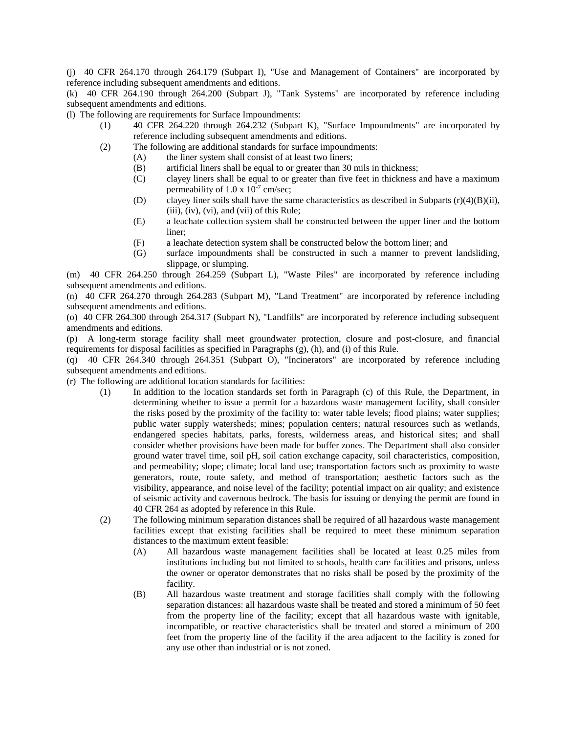(j) 40 CFR 264.170 through 264.179 (Subpart I), "Use and Management of Containers" are incorporated by reference including subsequent amendments and editions.

(k) 40 CFR 264.190 through 264.200 (Subpart J), "Tank Systems" are incorporated by reference including subsequent amendments and editions.

(l) The following are requirements for Surface Impoundments:

- (1) 40 CFR 264.220 through 264.232 (Subpart K), "Surface Impoundments" are incorporated by reference including subsequent amendments and editions.
- (2) The following are additional standards for surface impoundments:
	- (A) the liner system shall consist of at least two liners;
	- (B) artificial liners shall be equal to or greater than 30 mils in thickness;
	- (C) clayey liners shall be equal to or greater than five feet in thickness and have a maximum permeability of  $1.0 \times 10^{-7}$  cm/sec;
	- (D) clayey liner soils shall have the same characteristics as described in Subparts  $(r)(4)(B)(ii)$ , (iii), (iv), (vi), and (vii) of this Rule;
	- (E) a leachate collection system shall be constructed between the upper liner and the bottom liner;
	- (F) a leachate detection system shall be constructed below the bottom liner; and
	- (G) surface impoundments shall be constructed in such a manner to prevent landsliding, slippage, or slumping.

(m) 40 CFR 264.250 through 264.259 (Subpart L), "Waste Piles" are incorporated by reference including subsequent amendments and editions.

(n) 40 CFR 264.270 through 264.283 (Subpart M), "Land Treatment" are incorporated by reference including subsequent amendments and editions.

(o) 40 CFR 264.300 through 264.317 (Subpart N), "Landfills" are incorporated by reference including subsequent amendments and editions.

(p) A long-term storage facility shall meet groundwater protection, closure and post-closure, and financial requirements for disposal facilities as specified in Paragraphs (g), (h), and (i) of this Rule.

(q) 40 CFR 264.340 through 264.351 (Subpart O), "Incinerators" are incorporated by reference including subsequent amendments and editions.

(r) The following are additional location standards for facilities:

- (1) In addition to the location standards set forth in Paragraph (c) of this Rule, the Department, in determining whether to issue a permit for a hazardous waste management facility, shall consider the risks posed by the proximity of the facility to: water table levels; flood plains; water supplies; public water supply watersheds; mines; population centers; natural resources such as wetlands, endangered species habitats, parks, forests, wilderness areas, and historical sites; and shall consider whether provisions have been made for buffer zones. The Department shall also consider ground water travel time, soil pH, soil cation exchange capacity, soil characteristics, composition, and permeability; slope; climate; local land use; transportation factors such as proximity to waste generators, route, route safety, and method of transportation; aesthetic factors such as the visibility, appearance, and noise level of the facility; potential impact on air quality; and existence of seismic activity and cavernous bedrock. The basis for issuing or denying the permit are found in 40 CFR 264 as adopted by reference in this Rule.
- (2) The following minimum separation distances shall be required of all hazardous waste management facilities except that existing facilities shall be required to meet these minimum separation distances to the maximum extent feasible:
	- (A) All hazardous waste management facilities shall be located at least 0.25 miles from institutions including but not limited to schools, health care facilities and prisons, unless the owner or operator demonstrates that no risks shall be posed by the proximity of the facility.
	- (B) All hazardous waste treatment and storage facilities shall comply with the following separation distances: all hazardous waste shall be treated and stored a minimum of 50 feet from the property line of the facility; except that all hazardous waste with ignitable, incompatible, or reactive characteristics shall be treated and stored a minimum of 200 feet from the property line of the facility if the area adjacent to the facility is zoned for any use other than industrial or is not zoned.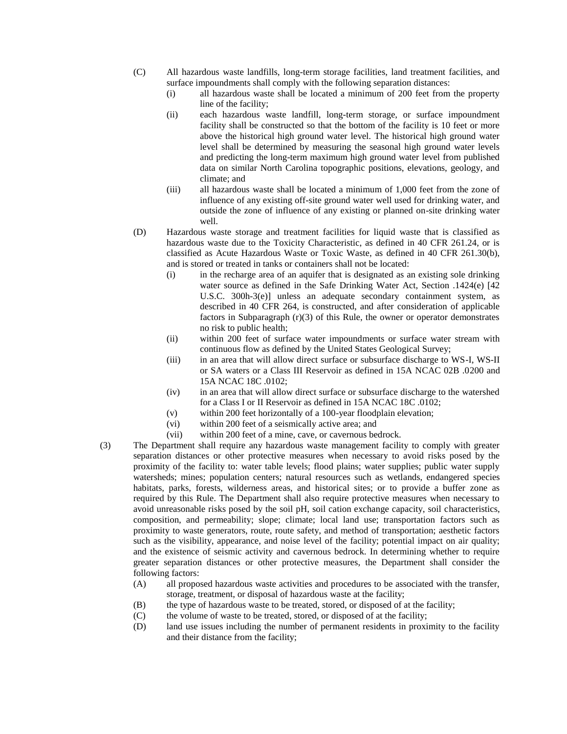- (C) All hazardous waste landfills, long-term storage facilities, land treatment facilities, and surface impoundments shall comply with the following separation distances:
	- (i) all hazardous waste shall be located a minimum of 200 feet from the property line of the facility;
	- (ii) each hazardous waste landfill, long-term storage, or surface impoundment facility shall be constructed so that the bottom of the facility is 10 feet or more above the historical high ground water level. The historical high ground water level shall be determined by measuring the seasonal high ground water levels and predicting the long-term maximum high ground water level from published data on similar North Carolina topographic positions, elevations, geology, and climate; and
	- (iii) all hazardous waste shall be located a minimum of 1,000 feet from the zone of influence of any existing off-site ground water well used for drinking water, and outside the zone of influence of any existing or planned on-site drinking water well.
- (D) Hazardous waste storage and treatment facilities for liquid waste that is classified as hazardous waste due to the Toxicity Characteristic, as defined in 40 CFR 261.24, or is classified as Acute Hazardous Waste or Toxic Waste, as defined in 40 CFR 261.30(b), and is stored or treated in tanks or containers shall not be located:
	- (i) in the recharge area of an aquifer that is designated as an existing sole drinking water source as defined in the Safe Drinking Water Act, Section .1424(e) [42 U.S.C. 300h-3(e)] unless an adequate secondary containment system, as described in 40 CFR 264, is constructed, and after consideration of applicable factors in Subparagraph (r)(3) of this Rule, the owner or operator demonstrates no risk to public health;
	- (ii) within 200 feet of surface water impoundments or surface water stream with continuous flow as defined by the United States Geological Survey;
	- (iii) in an area that will allow direct surface or subsurface discharge to WS-I, WS-II or SA waters or a Class III Reservoir as defined in 15A NCAC 02B .0200 and 15A NCAC 18C .0102;
	- (iv) in an area that will allow direct surface or subsurface discharge to the watershed for a Class I or II Reservoir as defined in 15A NCAC 18C .0102;
	- (v) within 200 feet horizontally of a 100-year floodplain elevation;
	- (vi) within 200 feet of a seismically active area; and
	- (vii) within 200 feet of a mine, cave, or cavernous bedrock.
- (3) The Department shall require any hazardous waste management facility to comply with greater separation distances or other protective measures when necessary to avoid risks posed by the proximity of the facility to: water table levels; flood plains; water supplies; public water supply watersheds; mines; population centers; natural resources such as wetlands, endangered species habitats, parks, forests, wilderness areas, and historical sites; or to provide a buffer zone as required by this Rule. The Department shall also require protective measures when necessary to avoid unreasonable risks posed by the soil pH, soil cation exchange capacity, soil characteristics, composition, and permeability; slope; climate; local land use; transportation factors such as proximity to waste generators, route, route safety, and method of transportation; aesthetic factors such as the visibility, appearance, and noise level of the facility; potential impact on air quality; and the existence of seismic activity and cavernous bedrock. In determining whether to require greater separation distances or other protective measures, the Department shall consider the following factors:
	- (A) all proposed hazardous waste activities and procedures to be associated with the transfer, storage, treatment, or disposal of hazardous waste at the facility;
	- (B) the type of hazardous waste to be treated, stored, or disposed of at the facility;
	- (C) the volume of waste to be treated, stored, or disposed of at the facility;
	- (D) land use issues including the number of permanent residents in proximity to the facility and their distance from the facility;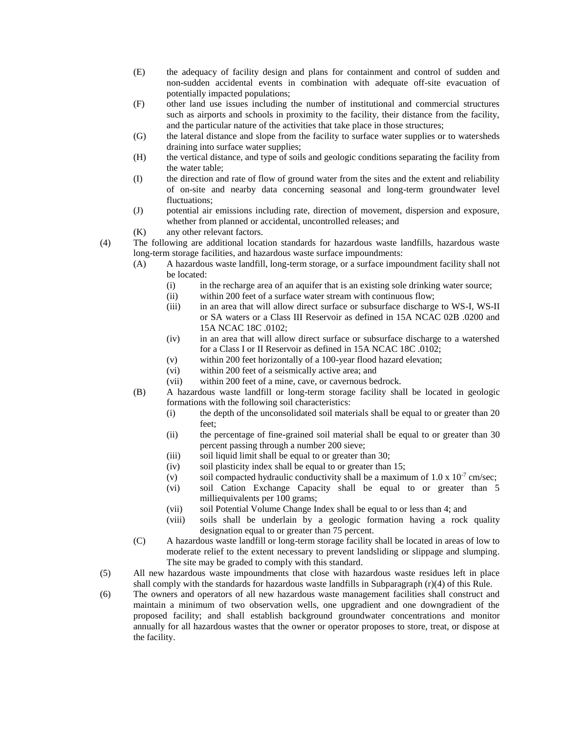- (E) the adequacy of facility design and plans for containment and control of sudden and non-sudden accidental events in combination with adequate off-site evacuation of potentially impacted populations;
- (F) other land use issues including the number of institutional and commercial structures such as airports and schools in proximity to the facility, their distance from the facility, and the particular nature of the activities that take place in those structures;
- (G) the lateral distance and slope from the facility to surface water supplies or to watersheds draining into surface water supplies;
- (H) the vertical distance, and type of soils and geologic conditions separating the facility from the water table;
- (I) the direction and rate of flow of ground water from the sites and the extent and reliability of on-site and nearby data concerning seasonal and long-term groundwater level fluctuations;
- (J) potential air emissions including rate, direction of movement, dispersion and exposure, whether from planned or accidental, uncontrolled releases; and
- (K) any other relevant factors.
- (4) The following are additional location standards for hazardous waste landfills, hazardous waste long-term storage facilities, and hazardous waste surface impoundments:
	- (A) A hazardous waste landfill, long-term storage, or a surface impoundment facility shall not be located:
		- (i) in the recharge area of an aquifer that is an existing sole drinking water source;
		- (ii) within 200 feet of a surface water stream with continuous flow;
		- (iii) in an area that will allow direct surface or subsurface discharge to WS-I, WS-II or SA waters or a Class III Reservoir as defined in 15A NCAC 02B .0200 and 15A NCAC 18C .0102;
		- (iv) in an area that will allow direct surface or subsurface discharge to a watershed for a Class I or II Reservoir as defined in 15A NCAC 18C .0102;
		- (v) within 200 feet horizontally of a 100-year flood hazard elevation;
		- (vi) within 200 feet of a seismically active area; and
		- (vii) within 200 feet of a mine, cave, or cavernous bedrock.
	- (B) A hazardous waste landfill or long-term storage facility shall be located in geologic formations with the following soil characteristics:
		- (i) the depth of the unconsolidated soil materials shall be equal to or greater than 20 feet;
		- (ii) the percentage of fine-grained soil material shall be equal to or greater than 30 percent passing through a number 200 sieve;
		- (iii) soil liquid limit shall be equal to or greater than 30;
		- (iv) soil plasticity index shall be equal to or greater than 15;
		- (v) soil compacted hydraulic conductivity shall be a maximum of  $1.0 \times 10^{-7}$  cm/sec;
		- (vi) soil Cation Exchange Capacity shall be equal to or greater than 5 milliequivalents per 100 grams;
		- (vii) soil Potential Volume Change Index shall be equal to or less than 4; and
		- (viii) soils shall be underlain by a geologic formation having a rock quality designation equal to or greater than 75 percent.
	- (C) A hazardous waste landfill or long-term storage facility shall be located in areas of low to moderate relief to the extent necessary to prevent landsliding or slippage and slumping. The site may be graded to comply with this standard.
- (5) All new hazardous waste impoundments that close with hazardous waste residues left in place shall comply with the standards for hazardous waste landfills in Subparagraph  $(r)(4)$  of this Rule.
- (6) The owners and operators of all new hazardous waste management facilities shall construct and maintain a minimum of two observation wells, one upgradient and one downgradient of the proposed facility; and shall establish background groundwater concentrations and monitor annually for all hazardous wastes that the owner or operator proposes to store, treat, or dispose at the facility.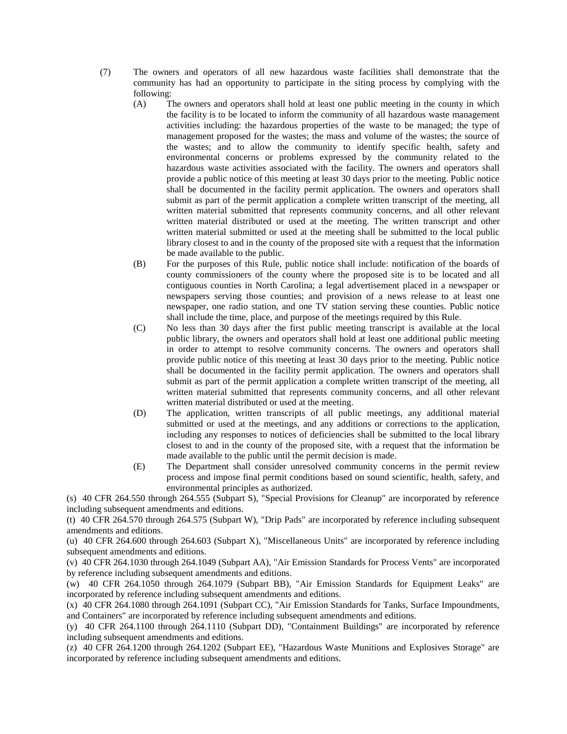- (7) The owners and operators of all new hazardous waste facilities shall demonstrate that the community has had an opportunity to participate in the siting process by complying with the following:
	- (A) The owners and operators shall hold at least one public meeting in the county in which the facility is to be located to inform the community of all hazardous waste management activities including: the hazardous properties of the waste to be managed; the type of management proposed for the wastes; the mass and volume of the wastes; the source of the wastes; and to allow the community to identify specific health, safety and environmental concerns or problems expressed by the community related to the hazardous waste activities associated with the facility. The owners and operators shall provide a public notice of this meeting at least 30 days prior to the meeting. Public notice shall be documented in the facility permit application. The owners and operators shall submit as part of the permit application a complete written transcript of the meeting, all written material submitted that represents community concerns, and all other relevant written material distributed or used at the meeting. The written transcript and other written material submitted or used at the meeting shall be submitted to the local public library closest to and in the county of the proposed site with a request that the information be made available to the public.
	- (B) For the purposes of this Rule, public notice shall include: notification of the boards of county commissioners of the county where the proposed site is to be located and all contiguous counties in North Carolina; a legal advertisement placed in a newspaper or newspapers serving those counties; and provision of a news release to at least one newspaper, one radio station, and one TV station serving these counties. Public notice shall include the time, place, and purpose of the meetings required by this Rule.
	- (C) No less than 30 days after the first public meeting transcript is available at the local public library, the owners and operators shall hold at least one additional public meeting in order to attempt to resolve community concerns. The owners and operators shall provide public notice of this meeting at least 30 days prior to the meeting. Public notice shall be documented in the facility permit application. The owners and operators shall submit as part of the permit application a complete written transcript of the meeting, all written material submitted that represents community concerns, and all other relevant written material distributed or used at the meeting.
	- (D) The application, written transcripts of all public meetings, any additional material submitted or used at the meetings, and any additions or corrections to the application, including any responses to notices of deficiencies shall be submitted to the local library closest to and in the county of the proposed site, with a request that the information be made available to the public until the permit decision is made.
	- (E) The Department shall consider unresolved community concerns in the permit review process and impose final permit conditions based on sound scientific, health, safety, and environmental principles as authorized.

(s) 40 CFR 264.550 through 264.555 (Subpart S), "Special Provisions for Cleanup" are incorporated by reference including subsequent amendments and editions.

(t) 40 CFR 264.570 through 264.575 (Subpart W), "Drip Pads" are incorporated by reference including subsequent amendments and editions.

(u) 40 CFR 264.600 through 264.603 (Subpart X), "Miscellaneous Units" are incorporated by reference including subsequent amendments and editions.

(v) 40 CFR 264.1030 through 264.1049 (Subpart AA), "Air Emission Standards for Process Vents" are incorporated by reference including subsequent amendments and editions.

(w) 40 CFR 264.1050 through 264.1079 (Subpart BB), "Air Emission Standards for Equipment Leaks" are incorporated by reference including subsequent amendments and editions.

(x) 40 CFR 264.1080 through 264.1091 (Subpart CC), "Air Emission Standards for Tanks, Surface Impoundments, and Containers" are incorporated by reference including subsequent amendments and editions.

(y) 40 CFR 264.1100 through 264.1110 (Subpart DD), "Containment Buildings" are incorporated by reference including subsequent amendments and editions.

(z) 40 CFR 264.1200 through 264.1202 (Subpart EE), "Hazardous Waste Munitions and Explosives Storage" are incorporated by reference including subsequent amendments and editions.